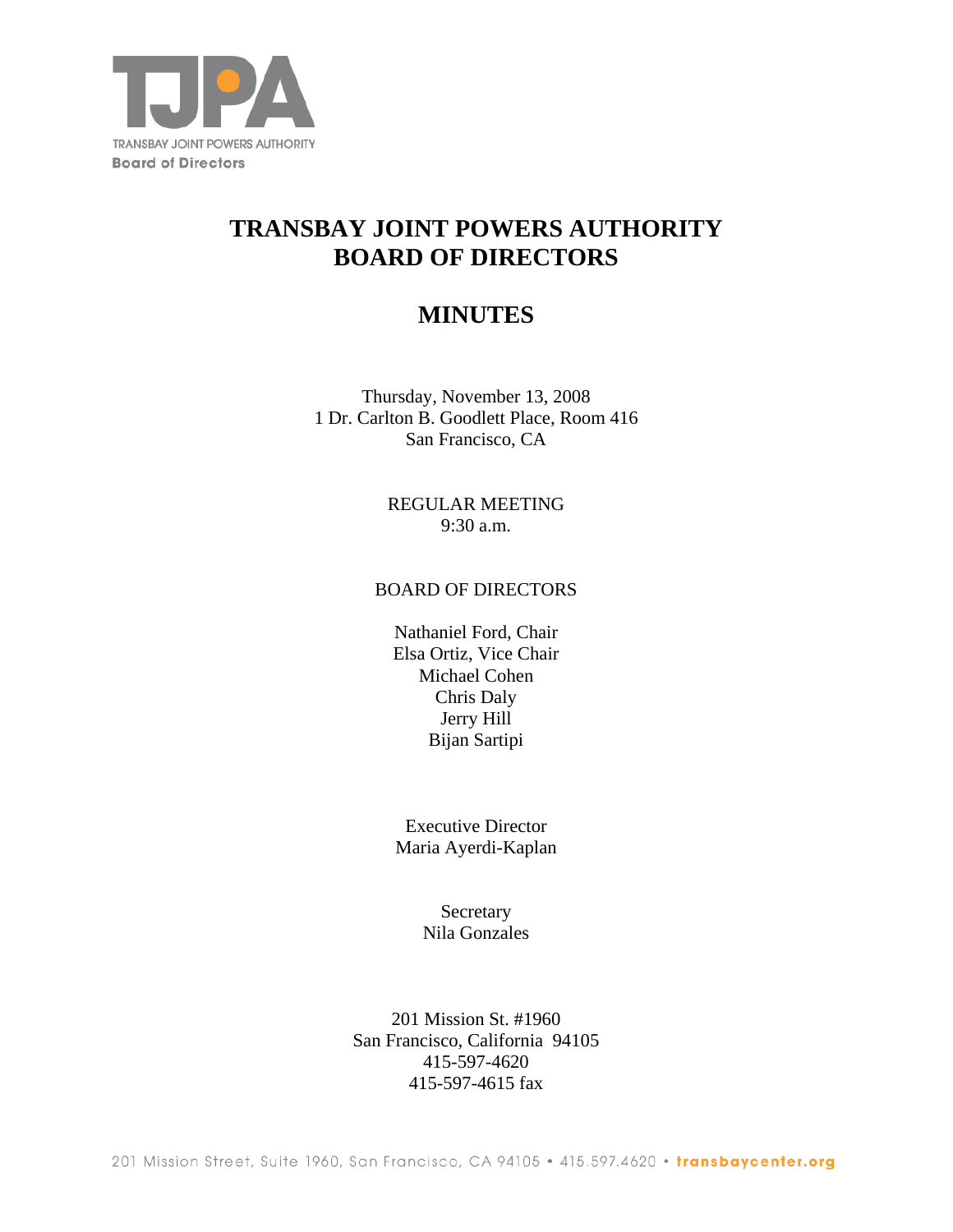

# **TRANSBAY JOINT POWERS AUTHORITY BOARD OF DIRECTORS**

## **MINUTES**

Thursday, November 13, 2008 1 Dr. Carlton B. Goodlett Place, Room 416 San Francisco, CA

> REGULAR MEETING 9:30 a.m.

#### BOARD OF DIRECTORS

Nathaniel Ford, Chair Elsa Ortiz, Vice Chair Michael Cohen Chris Daly Jerry Hill Bijan Sartipi

Executive Director Maria Ayerdi-Kaplan

> Secretary Nila Gonzales

201 Mission St. #1960 San Francisco, California 94105 415-597-4620 415-597-4615 fax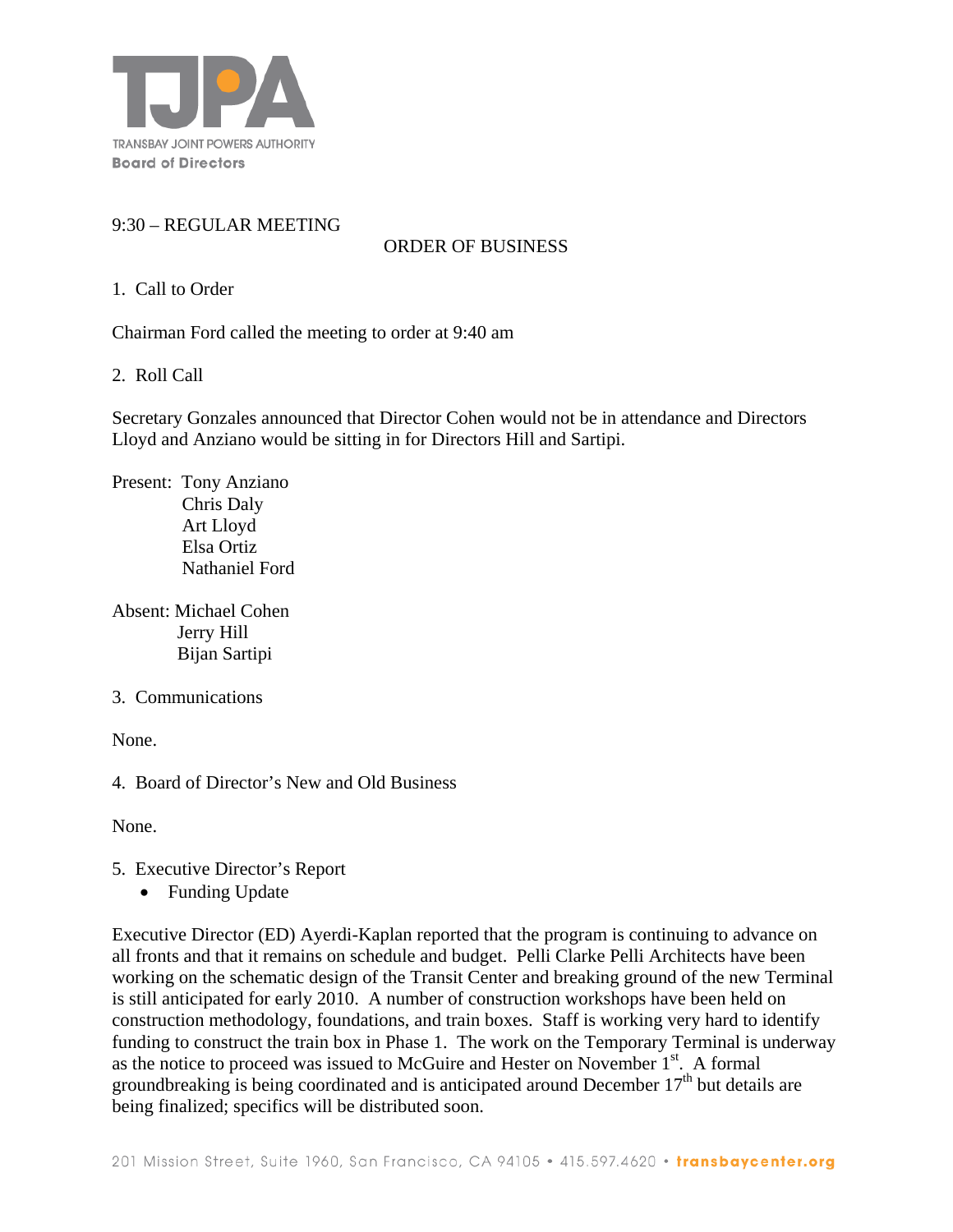

## 9:30 – REGULAR MEETING

## ORDER OF BUSINESS

1. Call to Order

Chairman Ford called the meeting to order at 9:40 am

2. Roll Call

Secretary Gonzales announced that Director Cohen would not be in attendance and Directors Lloyd and Anziano would be sitting in for Directors Hill and Sartipi.

Present: Tony Anziano Chris Daly Art Lloyd Elsa Ortiz Nathaniel Ford

Absent: Michael Cohen Jerry Hill Bijan Sartipi

3. Communications

None.

4. Board of Director's New and Old Business

None.

- 5. Executive Director's Report
	- Funding Update

Executive Director (ED) Ayerdi-Kaplan reported that the program is continuing to advance on all fronts and that it remains on schedule and budget. Pelli Clarke Pelli Architects have been working on the schematic design of the Transit Center and breaking ground of the new Terminal is still anticipated for early 2010. A number of construction workshops have been held on construction methodology, foundations, and train boxes. Staff is working very hard to identify funding to construct the train box in Phase 1. The work on the Temporary Terminal is underway as the notice to proceed was issued to McGuire and Hester on November 1<sup>st</sup>. A formal groundbreaking is being coordinated and is anticipated around December  $17<sup>th</sup>$  but details are being finalized; specifics will be distributed soon.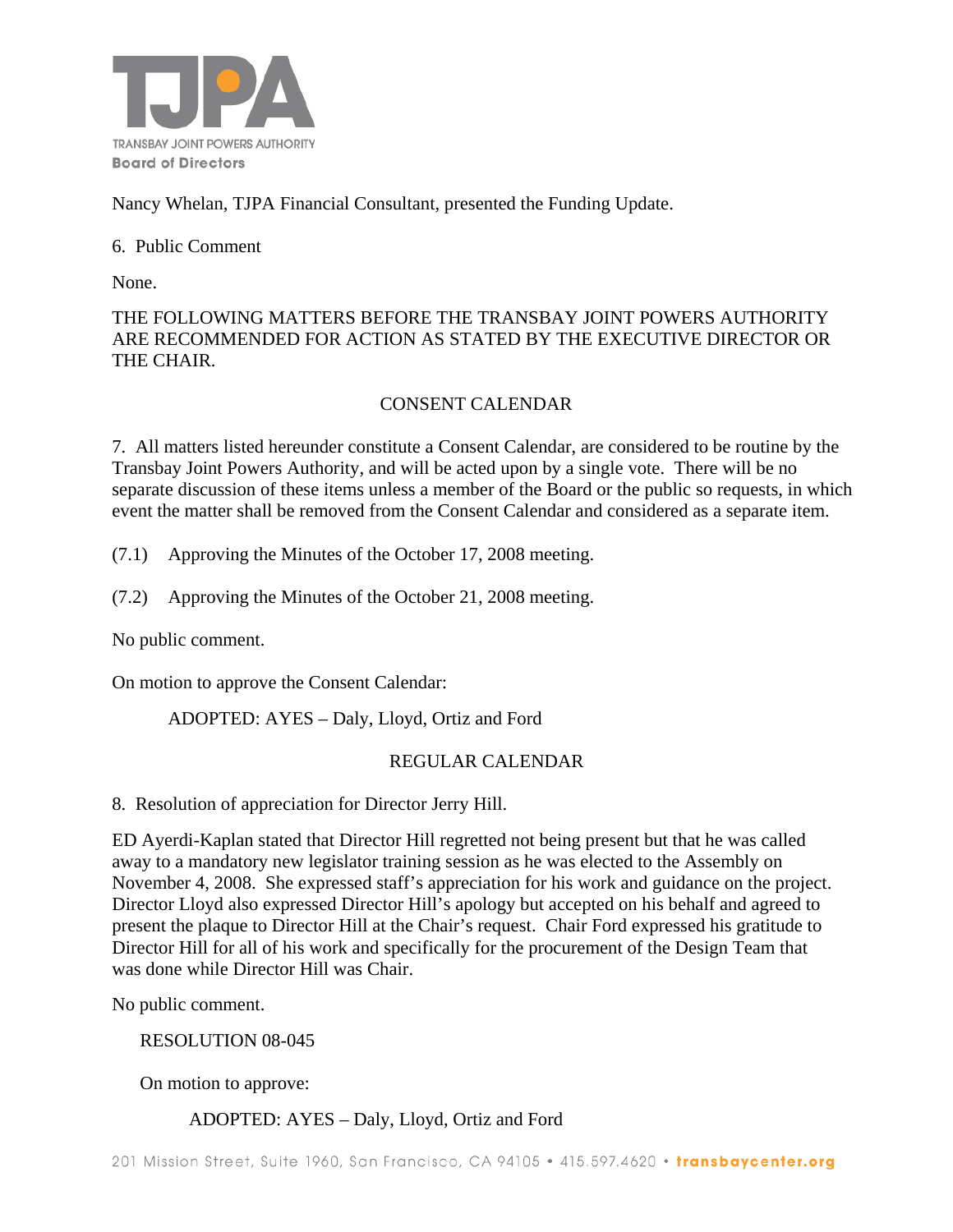

Nancy Whelan, TJPA Financial Consultant, presented the Funding Update.

### 6. Public Comment

None.

## THE FOLLOWING MATTERS BEFORE THE TRANSBAY JOINT POWERS AUTHORITY ARE RECOMMENDED FOR ACTION AS STATED BY THE EXECUTIVE DIRECTOR OR THE CHAIR.

## CONSENT CALENDAR

7. All matters listed hereunder constitute a Consent Calendar, are considered to be routine by the Transbay Joint Powers Authority, and will be acted upon by a single vote. There will be no separate discussion of these items unless a member of the Board or the public so requests, in which event the matter shall be removed from the Consent Calendar and considered as a separate item.

(7.1) Approving the Minutes of the October 17, 2008 meeting.

(7.2) Approving the Minutes of the October 21, 2008 meeting.

No public comment.

On motion to approve the Consent Calendar:

ADOPTED: AYES – Daly, Lloyd, Ortiz and Ford

## REGULAR CALENDAR

8. Resolution of appreciation for Director Jerry Hill.

ED Ayerdi-Kaplan stated that Director Hill regretted not being present but that he was called away to a mandatory new legislator training session as he was elected to the Assembly on November 4, 2008. She expressed staff's appreciation for his work and guidance on the project. Director Lloyd also expressed Director Hill's apology but accepted on his behalf and agreed to present the plaque to Director Hill at the Chair's request. Chair Ford expressed his gratitude to Director Hill for all of his work and specifically for the procurement of the Design Team that was done while Director Hill was Chair.

No public comment.

RESOLUTION 08-045

On motion to approve:

## ADOPTED: AYES – Daly, Lloyd, Ortiz and Ford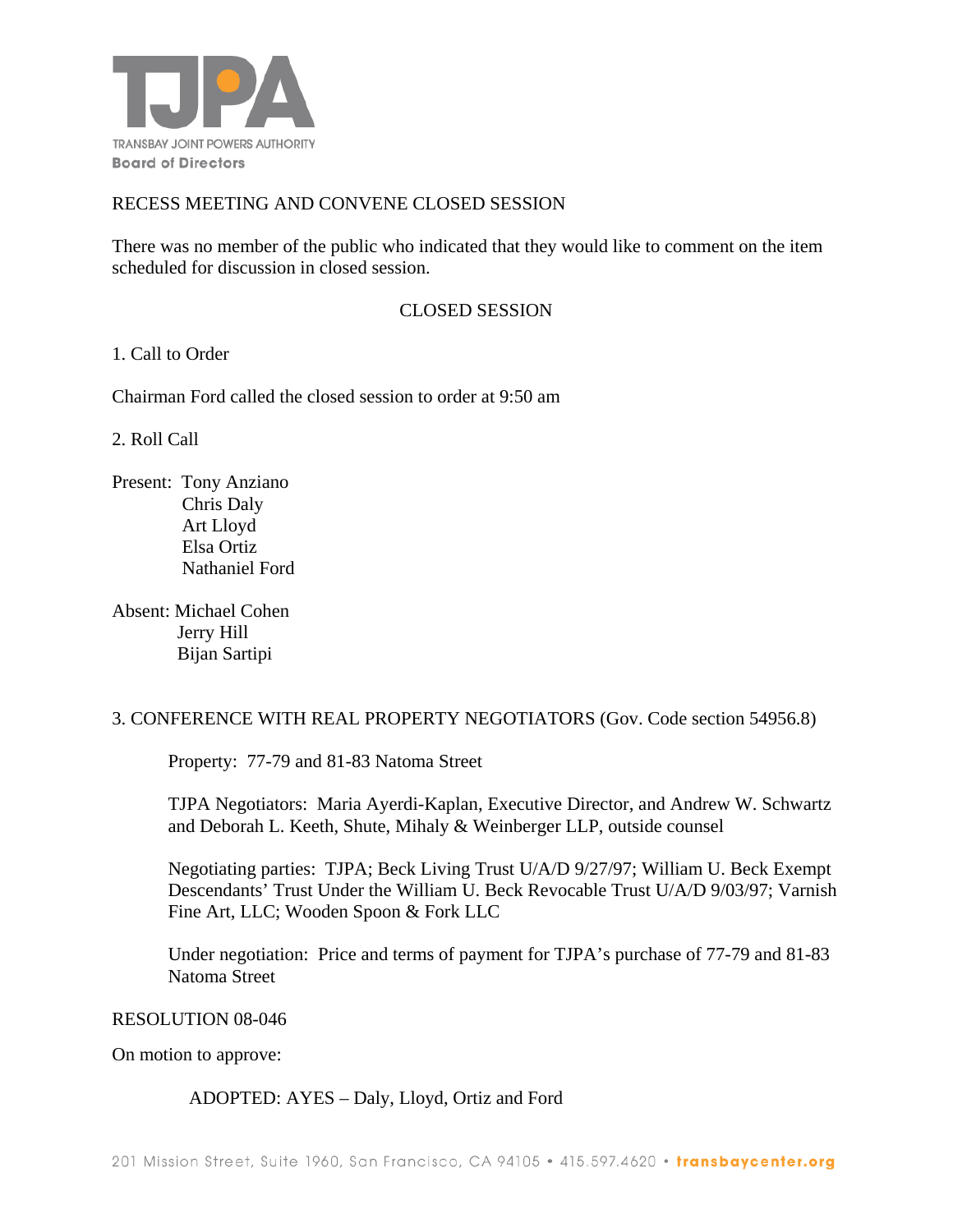

### RECESS MEETING AND CONVENE CLOSED SESSION

There was no member of the public who indicated that they would like to comment on the item scheduled for discussion in closed session.

#### CLOSED SESSION

#### 1. Call to Order

Chairman Ford called the closed session to order at 9:50 am

2. Roll Call

Present: Tony Anziano Chris Daly Art Lloyd Elsa Ortiz Nathaniel Ford

Absent: Michael Cohen Jerry Hill Bijan Sartipi

#### 3. CONFERENCE WITH REAL PROPERTY NEGOTIATORS (Gov. Code section 54956.8)

Property: 77-79 and 81-83 Natoma Street

TJPA Negotiators: Maria Ayerdi-Kaplan, Executive Director, and Andrew W. Schwartz and Deborah L. Keeth, Shute, Mihaly & Weinberger LLP, outside counsel

Negotiating parties: TJPA; Beck Living Trust U/A/D 9/27/97; William U. Beck Exempt Descendants' Trust Under the William U. Beck Revocable Trust U/A/D 9/03/97; Varnish Fine Art, LLC; Wooden Spoon & Fork LLC

Under negotiation: Price and terms of payment for TJPA's purchase of 77-79 and 81-83 Natoma Street

#### RESOLUTION 08-046

On motion to approve:

ADOPTED: AYES – Daly, Lloyd, Ortiz and Ford